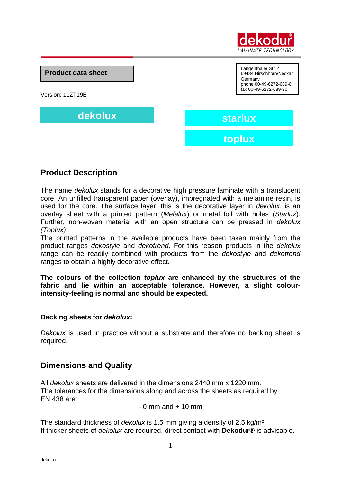

**Product data sheet**

Version: 11ZT19E

**dekolux starlux**

Langenthaler Str. 4 69434 Hirschhorn/Neckar Germany phone 00-49-6272-689-0 fax 00-49-6272-689-30

**toplux**

# **Product Description**

The name *dekolux* stands for a decorative high pressure laminate with a translucent core. An unfilled transparent paper (overlay), impregnated with a melamine resin, is used for the core. The surface layer, this is the decorative layer in *dekolux*, is an overlay sheet with a printed pattern (*Melalux*) or metal foil with holes (*Starlux*). Further, non-woven material with an open structure can be pressed in *dekolux (Toplux)*.

The printed patterns in the available products have been taken mainly from the product ranges *dekostyle* and *dekotrend.* For this reason products in the *dekolux* range can be readily combined with products from the *dekostyle* and *dekotrend* ranges to obtain a highly decorative effect.

**The colours of the collection** *toplux* **are enhanced by the structures of the fabric and lie within an acceptable tolerance. However, a slight colourintensity-feeling is normal and should be expected.**

#### **Backing sheets for** *dekolux***:**

*Dekolux* is used in practice without a substrate and therefore no backing sheet is required.

### **Dimensions and Quality**

All *dekolux* sheets are delivered in the dimensions 2440 mm x 1220 mm. The tolerances for the dimensions along and across the sheets as required by EN 438 are:

 $-0$  mm and  $+10$  mm

The standard thickness of *dekolux* is 1.5 mm giving a density of 2.5 kg/m². If thicker sheets of *dekolux* are required, direct contact with **Dekodur®** is advisable.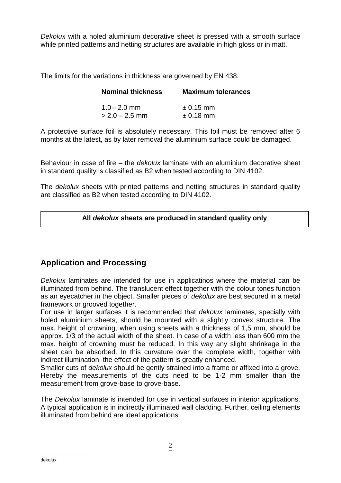*Dekolux* with a holed aluminium decorative sheet is pressed with a smooth surface while printed patterns and netting structures are available in high gloss or in matt.

The limits for the variations in thickness are governed by EN 438.

| <b>Nominal thickness</b> | <b>Maximum tolerances</b> |
|--------------------------|---------------------------|
| $1.0 - 2.0$ mm           | $\pm$ 0.15 mm             |
| $>$ 2.0 – 2.5 mm         | $\pm$ 0.18 mm             |

A protective surface foil is absolutely necessary. This foil must be removed after 6 months at the latest, as by later removal the aluminium surface could be damaged.

Behaviour in case of fire – the *dekolux* laminate with an aluminium decorative sheet in standard quality is classified as B2 when tested according to DIN 4102.

The *dekolux* sheets with printed patterns and netting structures in standard quality are classified as B2 when tested according to DIN 4102.

**All** *dekolux* **sheets are produced in standard quality only**

# **Application and Processing**

*Dekolux* laminates are intended for use in applicatinos where the material can be illuminated from behind. The translucent effect together with the colour tones function as an eyecatcher in the object. Smaller pieces of *dekolux* are best secured in a metal framework or grooved together.

For use in larger surfaces it is recommended that *dekolux* laminates, specially with holed aluminium sheets, should be mounted with a slightly convex structure. The max. height of crowning, when using sheets with a thickness of 1,5 mm, should be approx. 1/3 of the actual width of the sheet. In case of a width less than 600 mm the max. height of crowning must be reduced. In this way any slight shrinkage in the sheet can be absorbed. In this curvature over the complete width, together with indirect illumination, the effect of the pattern is greatly enhanced.

Smaller cuts of *dekolux* should be gently strained into a frame or affixed into a grove. Hereby the measurements of the cuts need to be 1-2 mm smaller than the measurement from grove-base to grove-base.

The *Dekolux* laminate is intended for use in vertical surfaces in interior applications. A typical application is in indirectly illuminated wall cladding. Further, ceiling elements illuminated from behind are ideal applications.